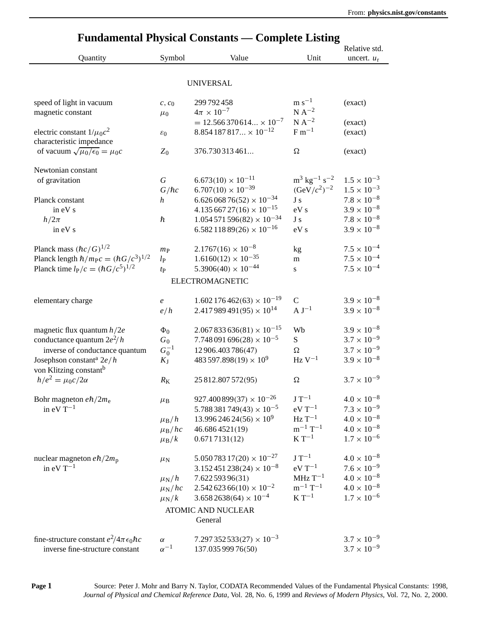| <b>Fundamental Physical Constants — Complete Listing</b>                  |                    |                                          |                                            |                      |  |
|---------------------------------------------------------------------------|--------------------|------------------------------------------|--------------------------------------------|----------------------|--|
|                                                                           |                    |                                          |                                            | Relative std.        |  |
| Quantity                                                                  | Symbol             | Value                                    | Unit                                       | uncert. $u_r$        |  |
|                                                                           |                    |                                          |                                            |                      |  |
|                                                                           |                    | <b>UNIVERSAL</b>                         |                                            |                      |  |
| speed of light in vacuum                                                  | $c, c_0$           | 299 792 458                              | $\rm m~s^{-1}$                             | (exact)              |  |
| magnetic constant                                                         | $\mu_0$            | $4\pi \times 10^{-7}$                    | $N A^{-2}$                                 |                      |  |
|                                                                           |                    | $= 12.566370614 \times 10^{-7}$          | $N A^{-2}$                                 | (exact)              |  |
| electric constant $1/\mu_0 c^2$                                           | $\varepsilon_0$    | $8.854187817 \times 10^{-12}$            | $F m^{-1}$                                 | (exact)              |  |
| characteristic impedance<br>of vacuum $\sqrt{\mu_0/\epsilon_0} = \mu_0 c$ | $Z_0$              | 376.730313461                            | Ω                                          | (exact)              |  |
|                                                                           |                    |                                          |                                            |                      |  |
| Newtonian constant                                                        |                    |                                          |                                            |                      |  |
| of gravitation                                                            | $\boldsymbol{G}$   | $6.673(10) \times 10^{-11}$              | $\rm m^3$ kg <sup>-1</sup> s <sup>-2</sup> | $1.5 \times 10^{-3}$ |  |
|                                                                           | $G/\hbar c$        | $6.707(10) \times 10^{-39}$              | $(GeV/c^2)^{-2}$                           | $1.5 \times 10^{-3}$ |  |
| Planck constant                                                           | $\boldsymbol{h}$   | $6.62606876(52) \times 10^{-34}$         | J <sub>s</sub>                             | $7.8 \times 10^{-8}$ |  |
| in eV s                                                                   |                    | $4.13566727(16) \times 10^{-15}$         | eV s                                       | $3.9 \times 10^{-8}$ |  |
| $h/2\pi$                                                                  | ħ                  | $1.054571596(82) \times 10^{-34}$        | J s                                        | $7.8 \times 10^{-8}$ |  |
| in eV s                                                                   |                    | $6.58211889(26) \times 10^{-16}$         | eV s                                       | $3.9 \times 10^{-8}$ |  |
| Planck mass $(\hbar c/G)^{1/2}$                                           | $m_{\rm P}$        | $2.1767(16) \times 10^{-8}$              | kg                                         | $7.5 \times 10^{-4}$ |  |
| Planck length $\hbar/m_{\rm P}c = (\hbar G/c^3)^{1/2}$                    | $l_{\rm P}$        | $1.6160(12) \times 10^{-35}$             | m                                          | $7.5 \times 10^{-4}$ |  |
| Planck time $l_p/c = (\hbar G/c^5)^{1/2}$                                 | tp                 | $5.3906(40) \times 10^{-44}$             | S                                          | $7.5 \times 10^{-4}$ |  |
|                                                                           |                    |                                          |                                            |                      |  |
|                                                                           |                    | <b>ELECTROMAGNETIC</b>                   |                                            |                      |  |
| elementary charge                                                         | $\mathfrak{e}$     | $1.602176462(63) \times 10^{-19}$        | $\mathsf{C}$                               | $3.9 \times 10^{-8}$ |  |
|                                                                           | e/h                | $2.417989491(95) \times 10^{14}$         | $A J^{-1}$                                 | $3.9 \times 10^{-8}$ |  |
| magnetic flux quantum $h/2e$                                              | $\Phi_0$           | $2.067833636(81) \times 10^{-15}$        | Wb                                         | $3.9 \times 10^{-8}$ |  |
| conductance quantum $2e^2/h$                                              | $G_0$              | $7.748091696(28) \times 10^{-5}$         | S                                          | $3.7 \times 10^{-9}$ |  |
| inverse of conductance quantum                                            | $G_0^{-1}$         | 12 906.403 786(47)                       | $\Omega$                                   | $3.7 \times 10^{-9}$ |  |
| Josephson constant <sup>a</sup> $2e/h$                                    | $K_{\rm J}$        | 483 597.898(19) $\times$ 10 <sup>9</sup> | $Hz V^{-1}$                                | $3.9 \times 10^{-8}$ |  |
| von Klitzing constant <sup>b</sup>                                        |                    |                                          |                                            |                      |  |
| $h/e^2 = \mu_0 c/2\alpha$                                                 | $R_{\rm K}$        | 25 812.807 572(95)                       | Ω                                          | $3.7 \times 10^{-9}$ |  |
|                                                                           |                    |                                          |                                            |                      |  |
| Bohr magneton $e\hbar/2m_e$                                               | $\mu$ <sub>B</sub> | $927.400899(37) \times 10^{-26}$         | $J T^{-1}$                                 | $4.0 \times 10^{-8}$ |  |
| in eV $T^{-1}$                                                            |                    | $5.788381749(43) \times 10^{-5}$         | $eV T^{-1}$                                | $7.3 \times 10^{-9}$ |  |
|                                                                           | $\mu_B/h$          | $13.99624624(56) \times 10^9$            | $HzT^{-1}$                                 | $4.0 \times 10^{-8}$ |  |
|                                                                           | $\mu_{\rm B}/hc$   | 46.6864521(19)                           | $m^{-1}T^{-1}$                             | $4.0\times10^{-8}$   |  |
|                                                                           | $\mu_{\rm B}/k$    | 0.6717131(12)                            | $K T^{-1}$                                 | $1.7 \times 10^{-6}$ |  |
| nuclear magneton $e\hbar/2m_{\rm p}$                                      | $\mu_{\rm N}$      | $5.05078317(20) \times 10^{-27}$         | $J T^{-1}$                                 | $4.0 \times 10^{-8}$ |  |
| in $eV T^{-1}$                                                            |                    | $3.152451238(24) \times 10^{-8}$         | $eV T^{-1}$                                | $7.6 \times 10^{-9}$ |  |
|                                                                           | $\mu_{\rm N}/h$    | 7.62259396(31)                           | $MHz$ T <sup>-1</sup>                      | $4.0 \times 10^{-8}$ |  |
|                                                                           | $\mu_{\rm N}/hc$   | $2.54262366(10) \times 10^{-2}$          | $m^{-1}T^{-1}$                             | $4.0 \times 10^{-8}$ |  |
|                                                                           | $\mu_{\rm N}/k$    | $3.6582638(64) \times 10^{-4}$           | $K T^{-1}$                                 | $1.7 \times 10^{-6}$ |  |
|                                                                           |                    | <b>ATOMIC AND NUCLEAR</b>                |                                            |                      |  |
|                                                                           |                    | General                                  |                                            |                      |  |
|                                                                           |                    |                                          |                                            |                      |  |
| fine-structure constant $e^2/4\pi\epsilon_0\hbar c$                       | $\alpha$           | $7.297352533(27) \times 10^{-3}$         |                                            | $3.7 \times 10^{-9}$ |  |
| inverse fine-structure constant                                           | $\alpha^{-1}$      | 137.035 999 76(50)                       |                                            | $3.7 \times 10^{-9}$ |  |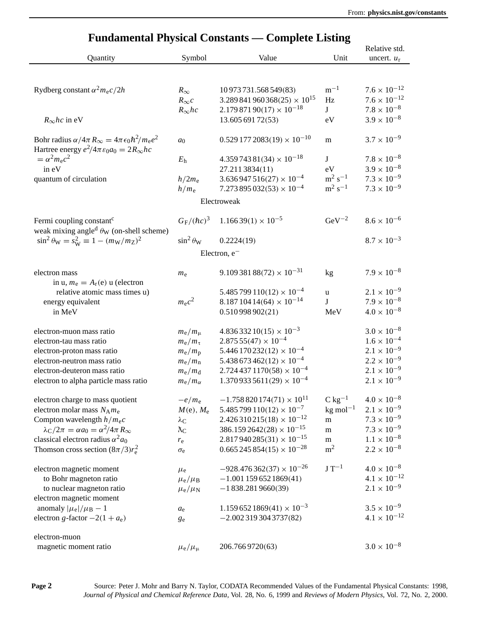| <b>Fundamental Physical Constants — Complete Listing</b>               |                             |                                     |                        |                       |  |
|------------------------------------------------------------------------|-----------------------------|-------------------------------------|------------------------|-----------------------|--|
|                                                                        |                             |                                     |                        | Relative std.         |  |
| Quantity                                                               | Symbol                      | Value                               | Unit                   | uncert. $u_r$         |  |
|                                                                        |                             |                                     |                        |                       |  |
| Rydberg constant $\alpha^2 m_e c/2h$                                   | $R_{\infty}$                | 10 973 731.568 549 (83)             | $m^{-1}$               | $7.6 \times 10^{-12}$ |  |
|                                                                        | $R_{\infty}c$               | $3.289841960368(25) \times 10^{15}$ | Hz                     | $7.6 \times 10^{-12}$ |  |
|                                                                        | $R_{\infty}$ <i>hc</i>      | $2.17987190(17) \times 10^{-18}$    | J                      | $7.8 \times 10^{-8}$  |  |
| $R_{\infty}$ <i>hc</i> in eV                                           |                             | 13.605 691 72(53)                   | eV                     | $3.9 \times 10^{-8}$  |  |
|                                                                        |                             |                                     |                        |                       |  |
| Bohr radius $\alpha/4\pi R_{\infty} = 4\pi \epsilon_0 \hbar^2/m_e e^2$ | a <sub>0</sub>              | $0.5291772083(19) \times 10^{-10}$  | m                      | $3.7 \times 10^{-9}$  |  |
| Hartree energy $e^2/4\pi \varepsilon_0 a_0 = 2R_{\infty} hc$           |                             |                                     |                        |                       |  |
| $=\alpha^2 m_e c^2$                                                    | $E_h$                       | $4.35974381(34) \times 10^{-18}$    | J                      | $7.8 \times 10^{-8}$  |  |
| in eV                                                                  |                             | 27.2113834(11)                      | eV                     | $3.9 \times 10^{-8}$  |  |
| quantum of circulation                                                 | $h/2m_e$                    | $3.636947516(27) \times 10^{-4}$    | $m^2 s^{-1}$           | $7.3 \times 10^{-9}$  |  |
|                                                                        | $h/m_e$                     | $7.273895032(53) \times 10^{-4}$    | $\rm m^2\ s^{-1}$      | $7.3 \times 10^{-9}$  |  |
|                                                                        |                             | Electroweak                         |                        |                       |  |
| Fermi coupling constant <sup>c</sup>                                   | $G_{\rm F}/(\hbar c)^3$     | $1.16639(1) \times 10^{-5}$         | $\rm GeV^{-2}$         | $8.6\times10^{-6}$    |  |
| weak mixing angle <sup>d</sup> $\theta_W$ (on-shell scheme)            |                             |                                     |                        |                       |  |
| $\sin^2 \theta_W = s_W^2 \equiv 1 - (m_W/m_Z)^2$                       | $\sin^2 \theta_W$           | 0.2224(19)                          |                        | $8.7 \times 10^{-3}$  |  |
|                                                                        |                             | Electron, $e^-$                     |                        |                       |  |
|                                                                        |                             |                                     |                        | $7.9 \times 10^{-8}$  |  |
| electron mass<br>in u, $m_e = A_r(e)$ u (electron                      | $m_{\rm e}$                 | $9.10938188(72) \times 10^{-31}$    | kg                     |                       |  |
| relative atomic mass times u)                                          |                             | $5.485799110(12) \times 10^{-4}$    | u                      | $2.1 \times 10^{-9}$  |  |
| energy equivalent                                                      | $m_{\rm e}c^2$              | $8.18710414(64) \times 10^{-14}$    | J                      | $7.9 \times 10^{-8}$  |  |
| in MeV                                                                 |                             | 0.510998902(21)                     | MeV                    | $4.0 \times 10^{-8}$  |  |
|                                                                        |                             |                                     |                        |                       |  |
| electron-muon mass ratio                                               | $m_e/m_\mu$                 | $4.83633210(15) \times 10^{-3}$     |                        | $3.0 \times 10^{-8}$  |  |
| electron-tau mass ratio                                                | $m_e/m_\tau$                | $2.87555(47) \times 10^{-4}$        |                        | $1.6 \times 10^{-4}$  |  |
| electron-proton mass ratio                                             | $m_e/m_p$                   | $5.446170232(12) \times 10^{-4}$    |                        | $2.1 \times 10^{-9}$  |  |
| electron-neutron mass ratio                                            | $m_e/m_n$                   | $5.438673462(12) \times 10^{-4}$    |                        | $2.2 \times 10^{-9}$  |  |
| electron-deuteron mass ratio                                           | $m_e/m_d$                   | $2.7244371170(58) \times 10^{-4}$   |                        | $2.1 \times 10^{-9}$  |  |
| electron to alpha particle mass ratio                                  | $m_e/m_\alpha$              | $1.3709335611(29) \times 10^{-4}$   |                        | $2.1 \times 10^{-9}$  |  |
| electron charge to mass quotient                                       | $-e/m_e$                    | $-1.758820174(71) \times 10^{11}$   | $C \text{ kg}^{-1}$    | $4.0\times10^{-8}$    |  |
| electron molar mass $N_A m_e$                                          | $M(e)$ , $M_e$              | $5.485799110(12) \times 10^{-7}$    | $kg$ mol <sup>-1</sup> | $2.1 \times 10^{-9}$  |  |
| Compton wavelength $h/m_ec$                                            | $\lambda_{\mathrm{C}}$      | $2.426310215(18) \times 10^{-12}$   | m                      | $7.3 \times 10^{-9}$  |  |
| $\lambda_{\rm C}/2\pi = \alpha a_0 = \alpha^2/4\pi R_{\infty}$         | $\lambda_{\rm C}$           | $386.1592642(28) \times 10^{-15}$   | m                      | $7.3 \times 10^{-9}$  |  |
| classical electron radius $\alpha^2 a_0$                               | $r_{\rm e}$                 | $2.817940285(31) \times 10^{-15}$   | m                      | $1.1 \times 10^{-8}$  |  |
| Thomson cross section $\left(8\pi/3\right)r_e^2$                       | $\sigma_{\rm e}$            | $0.665245854(15) \times 10^{-28}$   | m <sup>2</sup>         | $2.2 \times 10^{-8}$  |  |
|                                                                        |                             |                                     |                        |                       |  |
| electron magnetic moment                                               | $\mu_{\text{e}}$            | $-928.476362(37) \times 10^{-26}$   | $J T^{-1}$             | $4.0 \times 10^{-8}$  |  |
| to Bohr magneton ratio                                                 | $\mu_{\rm e}/\mu_{\rm B}$   | $-1.0011596521869(41)$              |                        | $4.1 \times 10^{-12}$ |  |
| to nuclear magneton ratio                                              | $\mu_{\rm e}/\mu_{\rm N}$   | $-1838.2819660(39)$                 |                        | $2.1\times10^{-9}$    |  |
| electron magnetic moment                                               |                             |                                     |                        |                       |  |
| anomaly $ \mu_e /\mu_B - 1$                                            | $a_{\rm e}$                 | $1.1596521869(41) \times 10^{-3}$   |                        | $3.5\times10^{-9}$    |  |
| electron g-factor $-2(1 + a_e)$                                        | $g_{\rm e}$                 | $-2.0023193043737(82)$              |                        | $4.1 \times 10^{-12}$ |  |
| electron-muon                                                          |                             |                                     |                        |                       |  |
| magnetic moment ratio                                                  | $\mu_{\rm e}/\mu_{\rm \mu}$ | 206.7669720(63)                     |                        | $3.0\times10^{-8}$    |  |
|                                                                        |                             |                                     |                        |                       |  |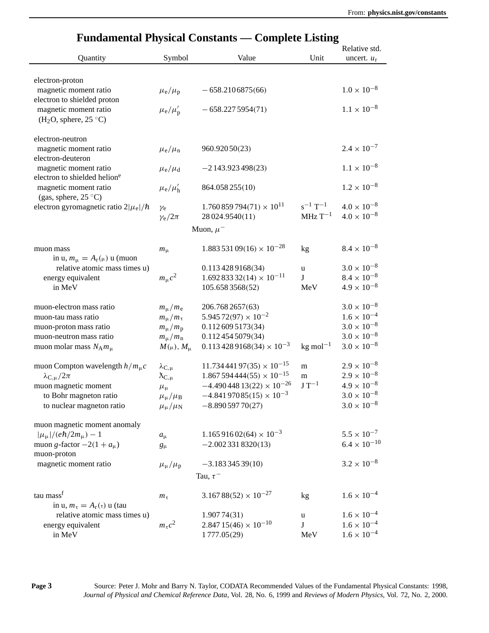|                                              |                            | г инданится і пумсаг Сонманія — Сонірили Евліпд |                          | Relative std.         |
|----------------------------------------------|----------------------------|-------------------------------------------------|--------------------------|-----------------------|
| Quantity                                     | Symbol                     | Value                                           | Unit                     |                       |
|                                              |                            |                                                 |                          | uncert. $u_r$         |
|                                              |                            |                                                 |                          |                       |
| electron-proton                              |                            |                                                 |                          |                       |
| magnetic moment ratio                        | $\mu_{\rm e}/\mu_{\rm p}$  | $-658.2106875(66)$                              |                          | $1.0 \times 10^{-8}$  |
| electron to shielded proton                  |                            |                                                 |                          |                       |
| magnetic moment ratio                        | $\mu_{\rm e}/\mu_{\rm p}'$ | $-658.2275954(71)$                              |                          | $1.1 \times 10^{-8}$  |
| (H <sub>2</sub> O, sphere, 25 °C)            |                            |                                                 |                          |                       |
|                                              |                            |                                                 |                          |                       |
| electron-neutron                             |                            |                                                 |                          |                       |
| magnetic moment ratio                        | $\mu_{\rm e}/\mu_{\rm n}$  | 960.92050(23)                                   |                          | $2.4 \times 10^{-7}$  |
| electron-deuteron                            |                            |                                                 |                          |                       |
| magnetic moment ratio                        | $\mu_{\rm e}/\mu_{\rm d}$  | $-2143.923498(23)$                              |                          | $1.1 \times 10^{-8}$  |
| electron to shielded helione                 |                            |                                                 |                          |                       |
| magnetic moment ratio                        | $\mu_{\rm e}/\mu'_{\rm h}$ | 864.058 255(10)                                 |                          | $1.2 \times 10^{-8}$  |
| (gas, sphere, $25^{\circ}$ C)                |                            |                                                 |                          |                       |
| electron gyromagnetic ratio $2 \mu_e /\hbar$ | $\gamma_e$                 | $1.760859794(71) \times 10^{11}$                | $s^{-1}$ T <sup>-1</sup> | $4.0 \times 10^{-8}$  |
|                                              | $\gamma_{\rm e}/2\pi$      | 28 024.9540(11)                                 | $\rm MHz \, T^{-1}$      | $4.0 \times 10^{-8}$  |
|                                              |                            | Muon, $\mu^-$                                   |                          |                       |
|                                              |                            |                                                 |                          |                       |
| muon mass                                    | $m_{\mu}$                  | $1.88353109(16) \times 10^{-28}$                | kg                       | $8.4 \times 10^{-8}$  |
| in u, $m_{\mu} = A_{r}(\mu)$ u (muon         |                            |                                                 |                          |                       |
| relative atomic mass times u)                |                            | 0.1134289168(34)                                | u                        | $3.0 \times 10^{-8}$  |
| energy equivalent                            | $m_{\mu}c^2$               | $1.69283332(14) \times 10^{-11}$                | J                        | $8.4 \times 10^{-8}$  |
| in MeV                                       |                            | 105.6583568(52)                                 | MeV                      | $4.9 \times 10^{-8}$  |
|                                              |                            |                                                 |                          |                       |
| muon-electron mass ratio                     | $m_{\mu}/m_{\rm e}$        | 206.768 2657(63)                                |                          | $3.0 \times 10^{-8}$  |
| muon-tau mass ratio                          | $m_{\mu}/m_{\tau}$         | $5.94572(97) \times 10^{-2}$                    |                          | $1.6 \times 10^{-4}$  |
| muon-proton mass ratio                       | $m_{\mu}/m_{\rm p}$        | 0.1126095173(34)                                |                          | $3.0 \times 10^{-8}$  |
| muon-neutron mass ratio                      | $m_{\mu}/m_{\rm n}$        | 0.1124545079(34)                                |                          | $3.0 \times 10^{-8}$  |
| muon molar mass $N_A m_\mu$                  | $M(\mu)$ , $M_{\mu}$       | $0.113\,428\,9168(34) \times 10^{-3}$           | $kg$ mol <sup>-1</sup>   | $3.0\times10^{-8}$    |
|                                              |                            |                                                 |                          |                       |
| muon Compton wavelength $h/m\mu c$           | $\lambda_{\rm C,\mu}$      | $11.73444197(35) \times 10^{-15}$               | m                        | $2.9\times10^{-8}$    |
| $\lambda_{\rm C,u}/2\pi$                     | $\lambda_{\rm C,\mu}$      | $1.867594444(55) \times 10^{-15}$               | m                        | $2.9 \times 10^{-8}$  |
| muon magnetic moment                         | $\mu_{\mu}$                | $-4.49044813(22) \times 10^{-26}$               | $J T^{-1}$               | $4.9 \times 10^{-8}$  |
| to Bohr magneton ratio                       | $\mu_{\mu}/\mu_{\rm B}$    | $-4.84197085(15) \times 10^{-3}$                |                          | $3.0 \times 10^{-8}$  |
| to nuclear magneton ratio                    | $\mu_\mu/\mu_N$            | $-8.89059770(27)$                               |                          | $3.0 \times 10^{-8}$  |
|                                              |                            |                                                 |                          |                       |
| muon magnetic moment anomaly                 |                            |                                                 |                          |                       |
| $ \mu_{\mu} /(e\hbar/2m_{\mu})-1$            | $a_{\mu}$                  | $1.16591602(64) \times 10^{-3}$                 |                          | $5.5 \times 10^{-7}$  |
| muon g-factor $-2(1 + a_{\mu})$              | $g_{\mu}$                  | $-2.0023318320(13)$                             |                          | $6.4 \times 10^{-10}$ |
| muon-proton                                  |                            |                                                 |                          |                       |
| magnetic moment ratio                        | $\mu_{\mu}/\mu_{\rm p}$    | $-3.18334539(10)$                               |                          | $3.2 \times 10^{-8}$  |
|                                              |                            | Tau, $\tau^-$                                   |                          |                       |
|                                              |                            |                                                 |                          |                       |
| tau mass <sup>f</sup>                        | $m_{\tau}$                 | $3.16788(52) \times 10^{-27}$                   | kg                       | $1.6 \times 10^{-4}$  |
| in u, $m_{\tau} = A_{r}(\tau)$ u (tau        |                            |                                                 |                          |                       |
| relative atomic mass times u)                |                            | 1.90774(31)                                     | u                        | $1.6 \times 10^{-4}$  |
| energy equivalent                            | $m_{\tau}c^2$              | $2.84715(46) \times 10^{-10}$                   | J                        | $1.6 \times 10^{-4}$  |
| in MeV                                       |                            | 1777.05(29)                                     | MeV                      | $1.6 \times 10^{-4}$  |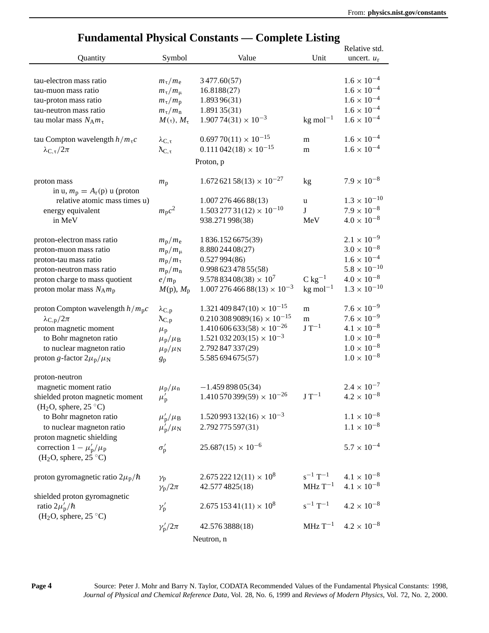| Fundamental Fuysical Constants — Complete Listing<br>Relative std.            |                                           |                                       |                          |                       |  |  |
|-------------------------------------------------------------------------------|-------------------------------------------|---------------------------------------|--------------------------|-----------------------|--|--|
| Quantity                                                                      | Symbol                                    | Value                                 | Unit                     | uncert. $u_r$         |  |  |
|                                                                               |                                           |                                       |                          |                       |  |  |
|                                                                               |                                           |                                       |                          |                       |  |  |
| tau-electron mass ratio                                                       | $m_\tau/m_e$                              | 3477.60(57)                           |                          | $1.6 \times 10^{-4}$  |  |  |
| tau-muon mass ratio                                                           | $m_\tau/m_\mu$                            | 16.8188(27)                           |                          | $1.6 \times 10^{-4}$  |  |  |
| tau-proton mass ratio                                                         | $m_\tau/m_p$                              | 1.893 96(31)                          |                          | $1.6 \times 10^{-4}$  |  |  |
| tau-neutron mass ratio                                                        | $m_\tau/m_\text{n}$                       | 1.89135(31)                           |                          | $1.6 \times 10^{-4}$  |  |  |
| tau molar mass $N_A m_\tau$                                                   | $M(\tau), M_{\tau}$                       | $1.90774(31) \times 10^{-3}$          | $kg$ mol <sup>-1</sup>   | $1.6 \times 10^{-4}$  |  |  |
| tau Compton wavelength $h/m\tauc$                                             | $\lambda_{\text{C},\tau}$                 | $0.69770(11) \times 10^{-15}$         | m                        | $1.6 \times 10^{-4}$  |  |  |
| $\lambda_{\text{C},\tau}/2\pi$                                                | $\lambda_{\text{C},\tau}$                 | $0.111\,042(18) \times 10^{-15}$      | m                        | $1.6 \times 10^{-4}$  |  |  |
|                                                                               |                                           | Proton, p                             |                          |                       |  |  |
|                                                                               |                                           | $1.67262158(13) \times 10^{-27}$      |                          | $7.9 \times 10^{-8}$  |  |  |
| proton mass<br>in u, $m_p = A_r(p)$ u (proton                                 | $m_{\rm p}$                               |                                       | kg                       |                       |  |  |
| relative atomic mass times u)                                                 |                                           | 1.007 276 466 88(13)                  | u                        | $1.3 \times 10^{-10}$ |  |  |
| energy equivalent                                                             | $m_p c^2$                                 | $1.503\,277\,31(12)\times 10^{-10}$   | $\bf J$                  | $7.9 \times 10^{-8}$  |  |  |
| in MeV                                                                        |                                           | 938.271998(38)                        | MeV                      | $4.0 \times 10^{-8}$  |  |  |
|                                                                               |                                           |                                       |                          |                       |  |  |
| proton-electron mass ratio                                                    | $m_{\rm p}/m_{\rm e}$                     | 1836.1526675(39)                      |                          | $2.1 \times 10^{-9}$  |  |  |
| proton-muon mass ratio                                                        | $m_{\rm p}/m_{\rm \mu}$                   | 8.880 244 08 (27)                     |                          | $3.0 \times 10^{-8}$  |  |  |
| proton-tau mass ratio                                                         | $m_{\rm p}/m_{\rm \tau}$                  | 0.527994(86)                          |                          | $1.6\times10^{-4}$    |  |  |
| proton-neutron mass ratio                                                     | $m_{\rm p}/m_{\rm n}$                     | 0.998 623 478 55(58)                  |                          | $5.8 \times 10^{-10}$ |  |  |
| proton charge to mass quotient                                                | $e/m_p$                                   | $9.57883408(38) \times 10^7$          | $C$ kg <sup>-1</sup>     | $4.0\times10^{-8}$    |  |  |
| proton molar mass $N_A m_p$                                                   | $M(p)$ , $M_p$                            | $1.00727646688(13) \times 10^{-3}$    | $kg$ mol <sup>-1</sup>   | $1.3 \times 10^{-10}$ |  |  |
|                                                                               |                                           |                                       |                          |                       |  |  |
| proton Compton wavelength $h/m_p c$                                           | $\lambda_{\text{C},\text{p}}$             | $1.321\,409\,847(10)\times 10^{-15}$  | ${\bf m}$                | $7.6 \times 10^{-9}$  |  |  |
| $\lambda_{\rm C,p}/2\pi$                                                      | $\chi_{C,p}$                              | $0.2103089089(16) \times 10^{-15}$    | m                        | $7.6 \times 10^{-9}$  |  |  |
| proton magnetic moment                                                        | $\mu_{\rm p}$                             | $1.410\,606\,633(58) \times 10^{-26}$ | $J T^{-1}$               | $4.1\times10^{-8}$    |  |  |
| to Bohr magneton ratio                                                        | $\mu_{\rm p}/\mu_{\rm B}$                 | $1.521\,032\,203(15) \times 10^{-3}$  |                          | $1.0 \times 10^{-8}$  |  |  |
| to nuclear magneton ratio                                                     | $\mu_{\rm p}/\mu_{\rm N}$                 | 2.792 847 337 (29)                    |                          | $1.0 \times 10^{-8}$  |  |  |
| proton g-factor $2\mu_{\rm p}/\mu_{\rm N}$                                    | $g_{\rm p}$                               | 5.585 694 675 (57)                    |                          | $1.0 \times 10^{-8}$  |  |  |
|                                                                               |                                           |                                       |                          |                       |  |  |
| proton-neutron                                                                |                                           |                                       |                          |                       |  |  |
| magnetic moment ratio                                                         | $\mu_{\rm p}/\mu_{\rm n}$                 | $-1.45989805(34)$                     |                          | $2.4 \times 10^{-7}$  |  |  |
| shielded proton magnetic moment<br>(H <sub>2</sub> O, sphere, $25^{\circ}$ C) | $\mu'_{\rm p}$                            | $1.410570399(59) \times 10^{-26}$     | $J T^{-1}$               | $4.2 \times 10^{-8}$  |  |  |
| to Bohr magneton ratio                                                        | $\mu'_{\rm p}/\mu_{\rm B}$                | $1.520993132(16) \times 10^{-3}$      |                          | $1.1 \times 10^{-8}$  |  |  |
| to nuclear magneton ratio                                                     |                                           | 2.792775597(31)                       |                          | $1.1 \times 10^{-8}$  |  |  |
|                                                                               | $\mu_{\rm p}^{\prime}/\mu_{\rm N}$        |                                       |                          |                       |  |  |
| proton magnetic shielding                                                     |                                           | $25.687(15) \times 10^{-6}$           |                          | $5.7 \times 10^{-4}$  |  |  |
| correction $1 - \mu'_{\rm p}/\mu_{\rm p}$                                     | $\sigma'_{\rm p}$                         |                                       |                          |                       |  |  |
| (H <sub>2</sub> O, sphere, 25 °C)                                             |                                           |                                       |                          |                       |  |  |
| proton gyromagnetic ratio $2\mu_p/\hbar$                                      |                                           | $2.67522212(11) \times 10^8$          | $s^{-1}$ T <sup>-1</sup> | $4.1 \times 10^{-8}$  |  |  |
|                                                                               | $\gamma_{\rm p}$<br>$\gamma_{\rm p}/2\pi$ | 42.577 4825 (18)                      | $MHz$ T <sup>-1</sup>    | $4.1 \times 10^{-8}$  |  |  |
| shielded proton gyromagnetic                                                  |                                           |                                       |                          |                       |  |  |
|                                                                               |                                           | $2.67515341(11) \times 10^8$          | $s^{-1}$ $T^{-1}$        | $4.2 \times 10^{-8}$  |  |  |
| ratio $2\mu'_{\rm p}/\hbar$<br>(H <sub>2</sub> O, sphere, 25 °C)              | $\gamma'_{\rm p}$                         |                                       |                          |                       |  |  |
|                                                                               | $\gamma_{\rm p}^{\prime}/2\pi$            | 42.5763888(18)                        | $MHz T^{-1}$             | $4.2 \times 10^{-8}$  |  |  |
|                                                                               |                                           |                                       |                          |                       |  |  |
|                                                                               |                                           | Neutron, n                            |                          |                       |  |  |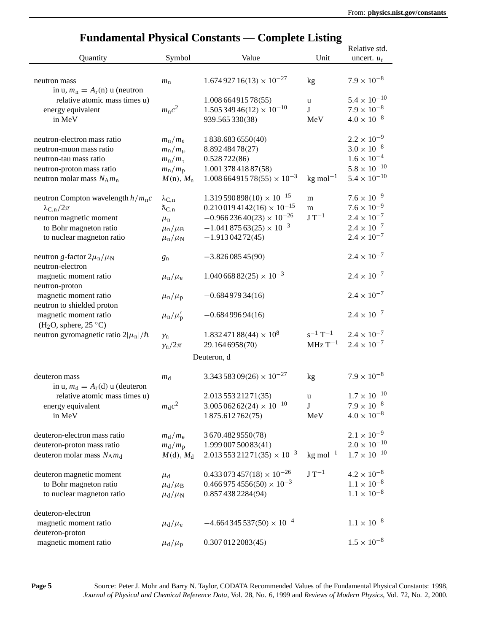|                                                                 |                            |                                       |                          | Relative std.         |
|-----------------------------------------------------------------|----------------------------|---------------------------------------|--------------------------|-----------------------|
| Quantity                                                        | Symbol                     | Value                                 | Unit                     | uncert. $u_r$         |
| neutron mass                                                    | $m_{\rm n}$                | $1.67492716(13) \times 10^{-27}$      | kg                       | $7.9 \times 10^{-8}$  |
| in u, $m_n = A_r(n)$ u (neutron                                 |                            |                                       |                          |                       |
| relative atomic mass times u)                                   |                            | 1.008 664 915 78 (55)                 | u                        | $5.4 \times 10^{-10}$ |
| energy equivalent                                               | $m_n c^2$                  | $1.50534946(12)\times 10^{-10}$       | J                        | $7.9 \times 10^{-8}$  |
| in MeV                                                          |                            | 939.565 330(38)                       | MeV                      | $4.0 \times 10^{-8}$  |
| neutron-electron mass ratio                                     | $m_{\rm n}/m_{\rm e}$      | 1838.6836550(40)                      |                          | $2.2 \times 10^{-9}$  |
| neutron-muon mass ratio                                         | $m_{\rm n}/m_{\rm \mu}$    | 8.89248478(27)                        |                          | $3.0 \times 10^{-8}$  |
| neutron-tau mass ratio                                          | $m_{\rm n}/m_{\rm \tau}$   | 0.528722(86)                          |                          | $1.6 \times 10^{-4}$  |
| neutron-proton mass ratio                                       | $m_{\rm n}/m_{\rm p}$      | 1.001 378 418 87(58)                  |                          | $5.8 \times 10^{-10}$ |
| neutron molar mass $N_A m_n$                                    | $M(n)$ , $M_n$             | $1.00866491578(55) \times 10^{-3}$    | $kg$ mol <sup>-1</sup>   | $5.4 \times 10^{-10}$ |
| neutron Compton wavelength $h/m_p c$                            | $\lambda_{\rm C,n}$        | $1.319590898(10) \times 10^{-15}$     | m                        | $7.6 \times 10^{-9}$  |
| $\lambda_{C,n}/2\pi$                                            | $\chi_{C,n}$               | $0.2100194142(16) \times 10^{-15}$    | m                        | $7.6 \times 10^{-9}$  |
| neutron magnetic moment                                         | $\mu_{\rm n}$              | $-0.96623640(23) \times 10^{-26}$     | $J T^{-1}$               | $2.4 \times 10^{-7}$  |
| to Bohr magneton ratio                                          | $\mu_{\rm n}/\mu_{\rm B}$  | $-1.04187563(25) \times 10^{-3}$      |                          | $2.4\times10^{-7}$    |
| to nuclear magneton ratio                                       | $\mu_{\rm n}/\mu_{\rm N}$  | $-1.91304272(45)$                     |                          | $2.4 \times 10^{-7}$  |
| neutron g-factor $2\mu_{\rm n}/\mu_{\rm N}$<br>neutron-electron | $g_{n}$                    | $-3.82608545(90)$                     |                          | $2.4 \times 10^{-7}$  |
| magnetic moment ratio<br>neutron-proton                         | $\mu_{\rm n}/\mu_{\rm e}$  | $1.04066882(25) \times 10^{-3}$       |                          | $2.4 \times 10^{-7}$  |
| magnetic moment ratio<br>neutron to shielded proton             | $\mu_{\rm n}/\mu_{\rm p}$  | $-0.68497934(16)$                     |                          | $2.4 \times 10^{-7}$  |
| magnetic moment ratio<br>(H <sub>2</sub> O, sphere, 25 °C)      | $\mu_{\rm n}/\mu_{\rm p}'$ | $-0.68499694(16)$                     |                          | $2.4 \times 10^{-7}$  |
| neutron gyromagnetic ratio $2 \mu_n /\hbar$                     | $\gamma_{n}$               | $1.83247188(44) \times 10^8$          | $s^{-1}$ T <sup>-1</sup> | $2.4 \times 10^{-7}$  |
|                                                                 | $\gamma_{\rm n}/2\pi$      | 29.1646958(70)                        | $MHz$ T <sup>-1</sup>    | $2.4 \times 10^{-7}$  |
|                                                                 |                            | Deuteron, d                           |                          |                       |
| deuteron mass<br>in u, $m_d = A_r(d)$ u (deuteron               | $m_{\rm d}$                | $3.34358309(26) \times 10^{-27}$      | kg                       | $7.9 \times 10^{-8}$  |
| relative atomic mass times u)                                   |                            | 2.013 553 212 71 (35)                 | u                        | $1.7 \times 10^{-10}$ |
| energy equivalent                                               | $m_{\rm d}c^2$             | $3.005\,062\,62(24)\times 10^{-10}$   | J                        | $7.9\times10^{-8}$    |
| in MeV                                                          |                            | 1875.612762(75)                       | MeV                      | $4.0 \times 10^{-8}$  |
| deuteron-electron mass ratio                                    | $m_d/m_e$                  | 3 670.482 9550(78)                    |                          | $2.1 \times 10^{-9}$  |
| deuteron-proton mass ratio                                      | $m_d/m_p$                  | 1.999 007 500 83(41)                  |                          | $2.0\times10^{-10}$   |
| deuteron molar mass $N_A m_d$                                   | $M(d)$ , $M_d$             | $2.01355321271(35) \times 10^{-3}$    | $kg$ mol <sup>-1</sup>   | $1.7 \times 10^{-10}$ |
| deuteron magnetic moment                                        | $\mu_{\rm d}$              | $0.433\,073\,457(18) \times 10^{-26}$ | $J T^{-1}$               | $4.2 \times 10^{-8}$  |
| to Bohr magneton ratio                                          | $\mu_{\rm d}/\mu_{\rm B}$  | $0.4669754556(50) \times 10^{-3}$     |                          | $1.1 \times 10^{-8}$  |
| to nuclear magneton ratio                                       | $\mu_{\rm d}/\mu_{\rm N}$  | 0.857 438 2284(94)                    |                          | $1.1 \times 10^{-8}$  |
| deuteron-electron                                               |                            |                                       |                          |                       |
| magnetic moment ratio                                           | $\mu_{\rm d}/\mu_{\rm e}$  | $-4.664345537(50) \times 10^{-4}$     |                          | $1.1\times10^{-8}$    |
| deuteron-proton                                                 |                            |                                       |                          |                       |
| magnetic moment ratio                                           | $\mu_{\rm d}/\mu_{\rm p}$  | 0.3070122083(45)                      |                          | $1.5 \times 10^{-8}$  |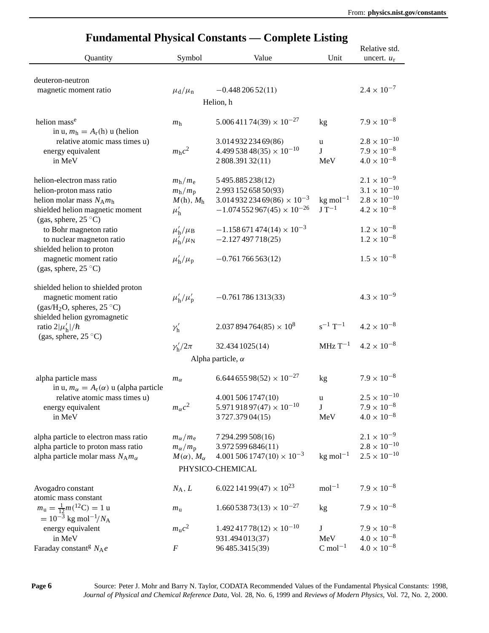| anaamontal 1 hypical Conbiants<br>Relative std.                                 |                                                    |                                            |                          |                                               |  |  |
|---------------------------------------------------------------------------------|----------------------------------------------------|--------------------------------------------|--------------------------|-----------------------------------------------|--|--|
| Quantity                                                                        | Symbol                                             | Value                                      | Unit                     | uncert. $u_r$                                 |  |  |
|                                                                                 |                                                    |                                            |                          |                                               |  |  |
| deuteron-neutron                                                                |                                                    |                                            |                          | $2.4 \times 10^{-7}$                          |  |  |
| magnetic moment ratio                                                           | $\mu_{\rm d}/\mu_{\rm n}$                          | $-0.44820652(11)$                          |                          |                                               |  |  |
|                                                                                 |                                                    | Helion, h                                  |                          |                                               |  |  |
| helion mass <sup>e</sup><br>in u, $m_h = A_r(h)$ u (helion                      | m <sub>h</sub>                                     | $5.00641174(39) \times 10^{-27}$           | kg                       | $7.9 \times 10^{-8}$                          |  |  |
| relative atomic mass times u)                                                   |                                                    | 3.014 932 234 69(86)                       | u                        | $2.8\times10^{-10}$                           |  |  |
| energy equivalent                                                               | $m_h c^2$                                          | $4.49953848(35) \times 10^{-10}$           | J                        | $7.9 \times 10^{-8}$                          |  |  |
| in MeV                                                                          |                                                    | 2808.39132(11)                             | MeV                      | $4.0 \times 10^{-8}$                          |  |  |
| helion-electron mass ratio                                                      | $m_h/m_e$                                          | 5495.885238(12)                            |                          | $2.1 \times 10^{-9}$                          |  |  |
| helion-proton mass ratio                                                        | $m_h/m_p$                                          | 2.993 152 658 50(93)                       |                          | $3.1 \times 10^{-10}$                         |  |  |
| helion molar mass $N_A m_h$                                                     | $M(h)$ , $Mh$                                      | $3.01493223469(86) \times 10^{-3}$         | $kg$ mol <sup>-1</sup>   | $2.8 \times 10^{-10}$                         |  |  |
| shielded helion magnetic moment                                                 | $\mu'_{h}$                                         | $-1.074552967(45) \times 10^{-26}$         | $J T^{-1}$               | $4.2 \times 10^{-8}$                          |  |  |
| (gas, sphere, $25^{\circ}$ C)                                                   |                                                    |                                            |                          |                                               |  |  |
| to Bohr magneton ratio                                                          | $\mu'_{\rm h}/\mu_{\rm B}$                         | $-1.158671474(14) \times 10^{-3}$          |                          | $1.2 \times 10^{-8}$                          |  |  |
| to nuclear magneton ratio<br>shielded helion to proton                          | $\mu'_{\rm h}/\mu_{\rm N}$                         | $-2.127497718(25)$                         |                          | $1.2\times10^{-8}$                            |  |  |
| magnetic moment ratio                                                           | $\mu'_{\rm h}/\mu_{\rm p}$                         | $-0.761766563(12)$                         |                          | $1.5 \times 10^{-8}$                          |  |  |
| (gas, sphere, $25^{\circ}$ C)                                                   |                                                    |                                            |                          |                                               |  |  |
|                                                                                 |                                                    |                                            |                          |                                               |  |  |
| shielded helion to shielded proton                                              |                                                    |                                            |                          | $4.3 \times 10^{-9}$                          |  |  |
| magnetic moment ratio<br>(gas/H <sub>2</sub> O, spheres, $25^{\circ}$ C)        | $\mu'_{\rm h}/\mu'_{\rm p}$                        | $-0.7617861313(33)$                        |                          |                                               |  |  |
| shielded helion gyromagnetic                                                    |                                                    |                                            |                          |                                               |  |  |
| ratio $2 \mu'_{\rm h} /\hbar$                                                   | $\nu'_{\rm h}$                                     | $2.037894764(85) \times 10^8$              | $s^{-1}$ T <sup>-1</sup> | $4.2 \times 10^{-8}$                          |  |  |
| (gas, sphere, $25^{\circ}$ C)                                                   |                                                    |                                            |                          |                                               |  |  |
|                                                                                 | $\gamma_{\rm h}^{\prime}/2\pi$                     | 32.434 1025 (14)                           | $MHz$ T <sup>-1</sup>    | $4.2 \times 10^{-8}$                          |  |  |
| Alpha particle, $\alpha$                                                        |                                                    |                                            |                          |                                               |  |  |
| alpha particle mass                                                             |                                                    | $6.64465598(52) \times 10^{-27}$           | kg                       | $7.9 \times 10^{-8}$                          |  |  |
| in u, $m_{\alpha} = A_{r}(\alpha)$ u (alpha particle                            | $m_{\alpha}$                                       |                                            |                          |                                               |  |  |
| relative atomic mass times u)                                                   |                                                    | 4.001 506 1747(10)                         | u                        | $2.5 \times 10^{-10}$                         |  |  |
| energy equivalent                                                               | $m_{\alpha}c^2$                                    | 5.971 918 97(47) $\times 10^{-10}$         | J                        | $7.9 \times 10^{-8}$                          |  |  |
| in MeV                                                                          |                                                    | 3727.37904(15)                             | MeV                      | $4.0 \times 10^{-8}$                          |  |  |
|                                                                                 |                                                    |                                            |                          |                                               |  |  |
| alpha particle to electron mass ratio                                           | $m_\alpha/m_{\rm e}$                               | 7 294.299 508(16)<br>3.9725996846(11)      |                          | $2.1 \times 10^{-9}$<br>$2.8 \times 10^{-10}$ |  |  |
| alpha particle to proton mass ratio<br>alpha particle molar mass $N_A m_\alpha$ | $m_\alpha/m_{\rm p}$<br>$M(\alpha)$ , $M_{\alpha}$ | $4.001\,506\,1747(10)\times 10^{-3}$       | $kg$ mol <sup>-1</sup>   | $2.5 \times 10^{-10}$                         |  |  |
|                                                                                 |                                                    | PHYSICO-CHEMICAL                           |                          |                                               |  |  |
|                                                                                 |                                                    |                                            |                          |                                               |  |  |
| Avogadro constant                                                               | $N_A, L$                                           | 6.022 141 99(47) $\times$ 10 <sup>23</sup> | $mol-1$                  | $7.9 \times 10^{-8}$                          |  |  |
| atomic mass constant                                                            |                                                    |                                            |                          |                                               |  |  |
| $m_{\rm u} = \frac{1}{12} m({}^{12}{\rm C}) = 1$ u                              | $m_{\rm u}$                                        | $1.66053873(13) \times 10^{-27}$           | kg                       | $7.9 \times 10^{-8}$                          |  |  |
| $= 10^{-3}$ kg mol <sup>-1</sup> /N <sub>A</sub>                                |                                                    |                                            |                          |                                               |  |  |
| energy equivalent                                                               | $m_u c^2$                                          | $1.49241778(12) \times 10^{-10}$           | J                        | $7.9 \times 10^{-8}$                          |  |  |
| in MeV                                                                          |                                                    | 931.494013(37)                             | MeV                      | $4.0 \times 10^{-8}$                          |  |  |
| Faraday constant <sup>g</sup> $N_Ae$                                            | F                                                  | 96485.3415(39)                             | $C \text{ mol}^{-1}$     | $4.0 \times 10^{-8}$                          |  |  |